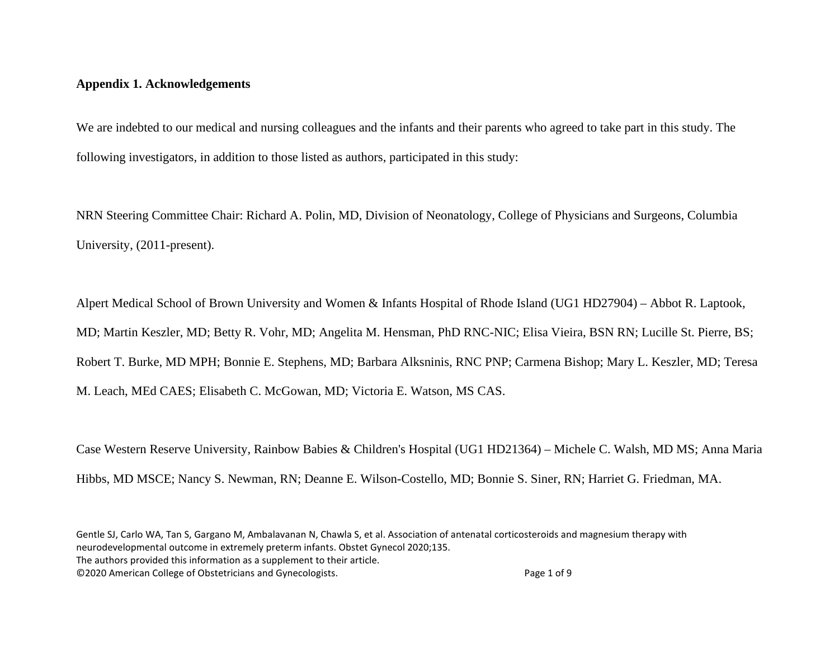## **Appendix 1. Acknowledgements**

We are indebted to our medical and nursing colleagues and the infants and their parents who agreed to take part in this study. The following investigators, in addition to those listed as authors, participated in this study:

NRN Steering Committee Chair: Richard A. Polin, MD, Division of Neonatology, College of Physicians and Surgeons, Columbia University, (2011-present).

Alpert Medical School of Brown University and Women & Infants Hospital of Rhode Island (UG1 HD27904) – Abbot R. Laptook, MD; Martin Keszler, MD; Betty R. Vohr, MD; Angelita M. Hensman, PhD RNC-NIC; Elisa Vieira, BSN RN; Lucille St. Pierre, BS; Robert T. Burke, MD MPH; Bonnie E. Stephens, MD; Barbara Alksninis, RNC PNP; Carmena Bishop; Mary L. Keszler, MD; Teresa M. Leach, MEd CAES; Elisabeth C. McGowan, MD; Victoria E. Watson, MS CAS.

Case Western Reserve University, Rainbow Babies & Children's Hospital (UG1 HD21364) – Michele C. Walsh, MD MS; Anna Maria Hibbs, MD MSCE; Nancy S. Newman, RN; Deanne E. Wilson-Costello, MD; Bonnie S. Siner, RN; Harriet G. Friedman, MA.

Gentle SJ, Carlo WA, Tan S, Gargano M, Ambalavanan N, Chawla S, et al. Association of antenatal corticosteroids and magnesium therapy with neurodevelopmental outcome in extremely preterm infants. Obstet Gynecol 2020;135.

The authors provided this information as a supplement to their article.

©2020 American College of Obstetricians and Gynecologists. Page 1 of 9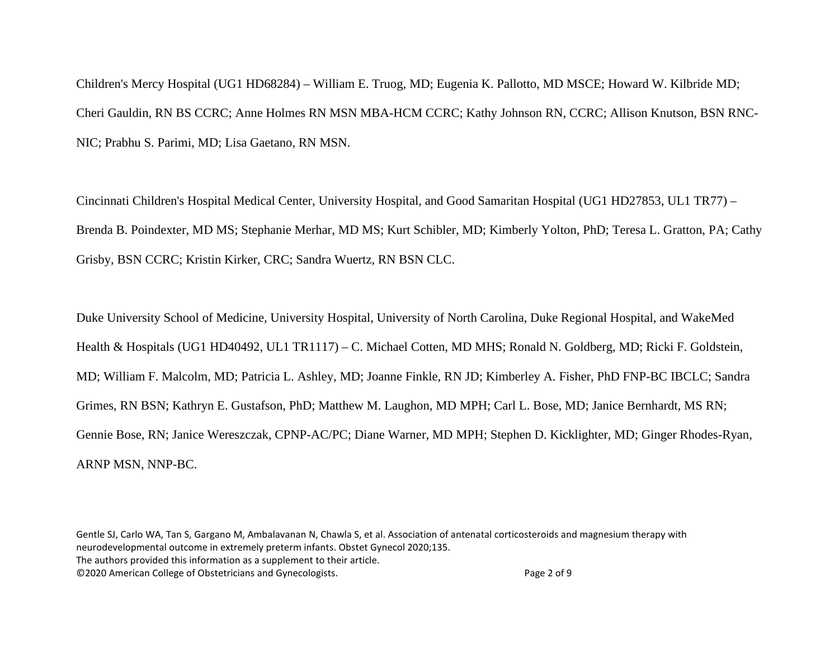Children's Mercy Hospital (UG1 HD68284) – William E. Truog, MD; Eugenia K. Pallotto, MD MSCE; Howard W. Kilbride MD; Cheri Gauldin, RN BS CCRC; Anne Holmes RN MSN MBA-HCM CCRC; Kathy Johnson RN, CCRC; Allison Knutson, BSN RNC-NIC; Prabhu S. Parimi, MD; Lisa Gaetano, RN MSN.

Cincinnati Children's Hospital Medical Center, University Hospital, and Good Samaritan Hospital (UG1 HD27853, UL1 TR77) – Brenda B. Poindexter, MD MS; Stephanie Merhar, MD MS; Kurt Schibler, MD; Kimberly Yolton, PhD; Teresa L. Gratton, PA; Cathy Grisby, BSN CCRC; Kristin Kirker, CRC; Sandra Wuertz, RN BSN CLC.

Duke University School of Medicine, University Hospital, University of North Carolina, Duke Regional Hospital, and WakeMed Health & Hospitals (UG1 HD40492, UL1 TR1117) – C. Michael Cotten, MD MHS; Ronald N. Goldberg, MD; Ricki F. Goldstein, MD; William F. Malcolm, MD; Patricia L. Ashley, MD; Joanne Finkle, RN JD; Kimberley A. Fisher, PhD FNP-BC IBCLC; Sandra Grimes, RN BSN; Kathryn E. Gustafson, PhD; Matthew M. Laughon, MD MPH; Carl L. Bose, MD; Janice Bernhardt, MS RN; Gennie Bose, RN; Janice Wereszczak, CPNP-AC/PC; Diane Warner, MD MPH; Stephen D. Kicklighter, MD; Ginger Rhodes-Ryan, ARNP MSN, NNP-BC.

Gentle SJ, Carlo WA, Tan S, Gargano M, Ambalavanan N, Chawla S, et al. Association of antenatal corticosteroids and magnesium therapy with neurodevelopmental outcome in extremely preterm infants. Obstet Gynecol 2020;135. The authors provided this information as a supplement to their article. ©2020 American College of Obstetricians and Gynecologists. Page 2 of 9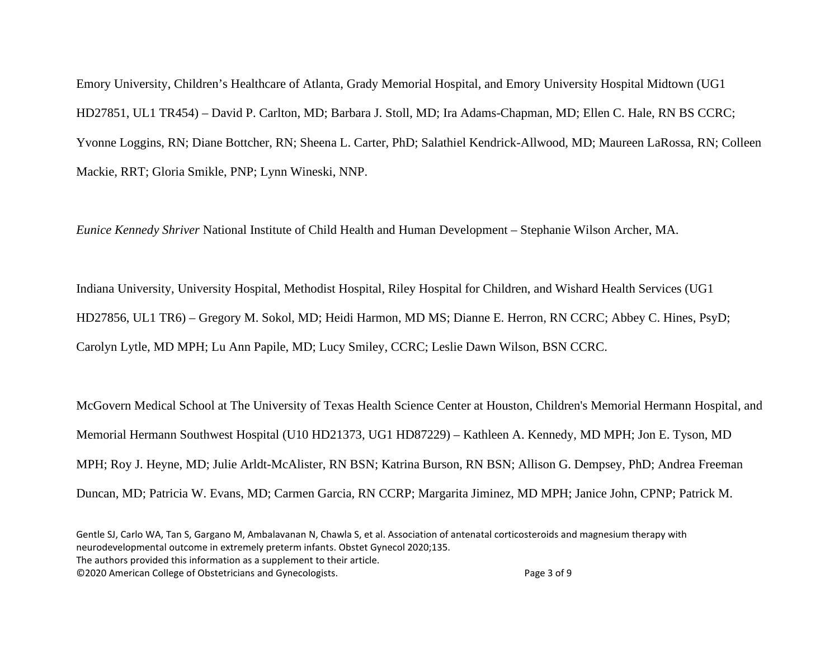Emory University, Children's Healthcare of Atlanta, Grady Memorial Hospital, and Emory University Hospital Midtown (UG1 HD27851, UL1 TR454) – David P. Carlton, MD; Barbara J. Stoll, MD; Ira Adams-Chapman, MD; Ellen C. Hale, RN BS CCRC; Yvonne Loggins, RN; Diane Bottcher, RN; Sheena L. Carter, PhD; Salathiel Kendrick-Allwood, MD; Maureen LaRossa, RN; Colleen Mackie, RRT; Gloria Smikle, PNP; Lynn Wineski, NNP.

*Eunice Kennedy Shriver* National Institute of Child Health and Human Development – Stephanie Wilson Archer, MA.

Indiana University, University Hospital, Methodist Hospital, Riley Hospital for Children, and Wishard Health Services (UG1 HD27856, UL1 TR6) – Gregory M. Sokol, MD; Heidi Harmon, MD MS; Dianne E. Herron, RN CCRC; Abbey C. Hines, PsyD; Carolyn Lytle, MD MPH; Lu Ann Papile, MD; Lucy Smiley, CCRC; Leslie Dawn Wilson, BSN CCRC.

McGovern Medical School at The University of Texas Health Science Center at Houston, Children's Memorial Hermann Hospital, and Memorial Hermann Southwest Hospital (U10 HD21373, UG1 HD87229) – Kathleen A. Kennedy, MD MPH; Jon E. Tyson, MD MPH; Roy J. Heyne, MD; Julie Arldt-McAlister, RN BSN; Katrina Burson, RN BSN; Allison G. Dempsey, PhD; Andrea Freeman Duncan, MD; Patricia W. Evans, MD; Carmen Garcia, RN CCRP; Margarita Jiminez, MD MPH; Janice John, CPNP; Patrick M.

©2020 American College of Obstetricians and Gynecologists. Page 3 of 9

Gentle SJ, Carlo WA, Tan S, Gargano M, Ambalavanan N, Chawla S, et al. Association of antenatal corticosteroids and magnesium therapy with neurodevelopmental outcome in extremely preterm infants. Obstet Gynecol 2020;135. The authors provided this information as a supplement to their article.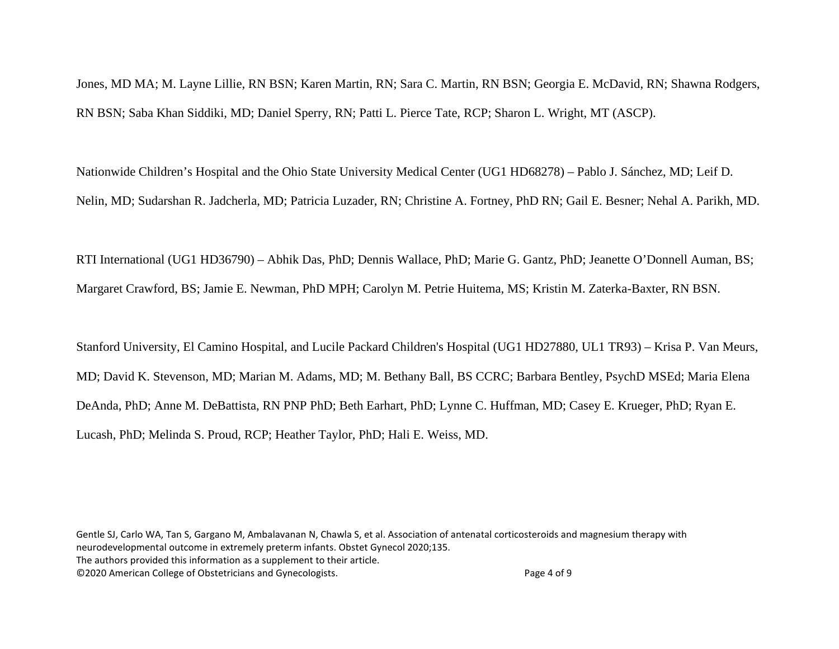Jones, MD MA; M. Layne Lillie, RN BSN; Karen Martin, RN; Sara C. Martin, RN BSN; Georgia E. McDavid, RN; Shawna Rodgers, RN BSN; Saba Khan Siddiki, MD; Daniel Sperry, RN; Patti L. Pierce Tate, RCP; Sharon L. Wright, MT (ASCP).

Nationwide Children's Hospital and the Ohio State University Medical Center (UG1 HD68278) – Pablo J. Sánchez, MD; Leif D. Nelin, MD; Sudarshan R. Jadcherla, MD; Patricia Luzader, RN; Christine A. Fortney, PhD RN; Gail E. Besner; Nehal A. Parikh, MD.

RTI International (UG1 HD36790) – Abhik Das, PhD; Dennis Wallace, PhD; Marie G. Gantz, PhD; Jeanette O'Donnell Auman, BS; Margaret Crawford, BS; Jamie E. Newman, PhD MPH; Carolyn M. Petrie Huitema, MS; Kristin M. Zaterka-Baxter, RN BSN.

Stanford University, El Camino Hospital, and Lucile Packard Children's Hospital (UG1 HD27880, UL1 TR93) – Krisa P. Van Meurs, MD; David K. Stevenson, MD; Marian M. Adams, MD; M. Bethany Ball, BS CCRC; Barbara Bentley, PsychD MSEd; Maria Elena DeAnda, PhD; Anne M. DeBattista, RN PNP PhD; Beth Earhart, PhD; Lynne C. Huffman, MD; Casey E. Krueger, PhD; Ryan E. Lucash, PhD; Melinda S. Proud, RCP; Heather Taylor, PhD; Hali E. Weiss, MD.

Gentle SJ, Carlo WA, Tan S, Gargano M, Ambalavanan N, Chawla S, et al. Association of antenatal corticosteroids and magnesium therapy with neurodevelopmental outcome in extremely preterm infants. Obstet Gynecol 2020;135. The authors provided this information as a supplement to their article. ©2020 American College of Obstetricians and Gynecologists. Page 4 of 9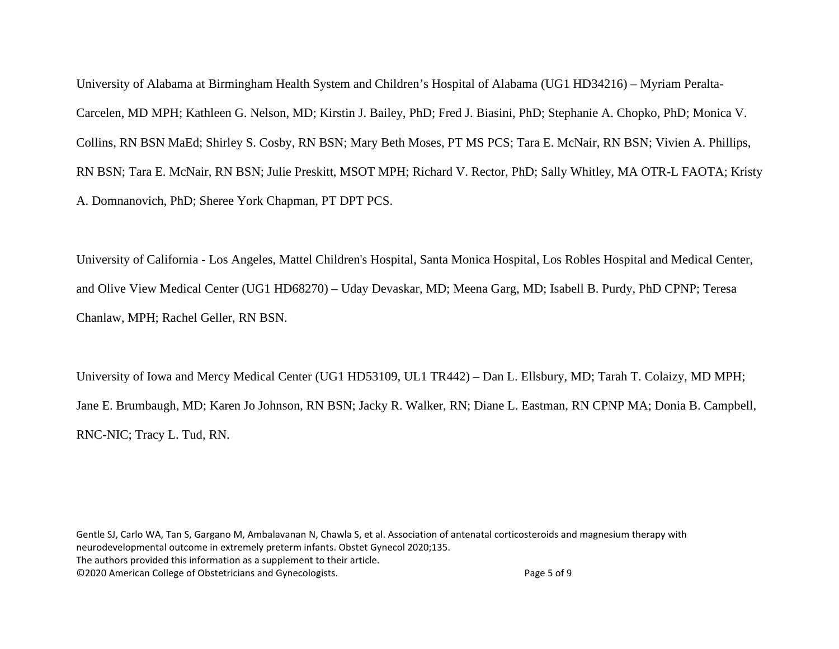University of Alabama at Birmingham Health System and Children's Hospital of Alabama (UG1 HD34216) – Myriam Peralta-Carcelen, MD MPH; Kathleen G. Nelson, MD; Kirstin J. Bailey, PhD; Fred J. Biasini, PhD; Stephanie A. Chopko, PhD; Monica V. Collins, RN BSN MaEd; Shirley S. Cosby, RN BSN; Mary Beth Moses, PT MS PCS; Tara E. McNair, RN BSN; Vivien A. Phillips, RN BSN; Tara E. McNair, RN BSN; Julie Preskitt, MSOT MPH; Richard V. Rector, PhD; Sally Whitley, MA OTR-L FAOTA; Kristy A. Domnanovich, PhD; Sheree York Chapman, PT DPT PCS.

University of California - Los Angeles, Mattel Children's Hospital, Santa Monica Hospital, Los Robles Hospital and Medical Center, and Olive View Medical Center (UG1 HD68270) – Uday Devaskar, MD; Meena Garg, MD; Isabell B. Purdy, PhD CPNP; Teresa Chanlaw, MPH; Rachel Geller, RN BSN.

University of Iowa and Mercy Medical Center (UG1 HD53109, UL1 TR442) – Dan L. Ellsbury, MD; Tarah T. Colaizy, MD MPH; Jane E. Brumbaugh, MD; Karen Jo Johnson, RN BSN; Jacky R. Walker, RN; Diane L. Eastman, RN CPNP MA; Donia B. Campbell, RNC-NIC; Tracy L. Tud, RN.

Gentle SJ, Carlo WA, Tan S, Gargano M, Ambalavanan N, Chawla S, et al. Association of antenatal corticosteroids and magnesium therapy with neurodevelopmental outcome in extremely preterm infants. Obstet Gynecol 2020;135. The authors provided this information as a supplement to their article. ©2020 American College of Obstetricians and Gynecologists. Page 5 of 9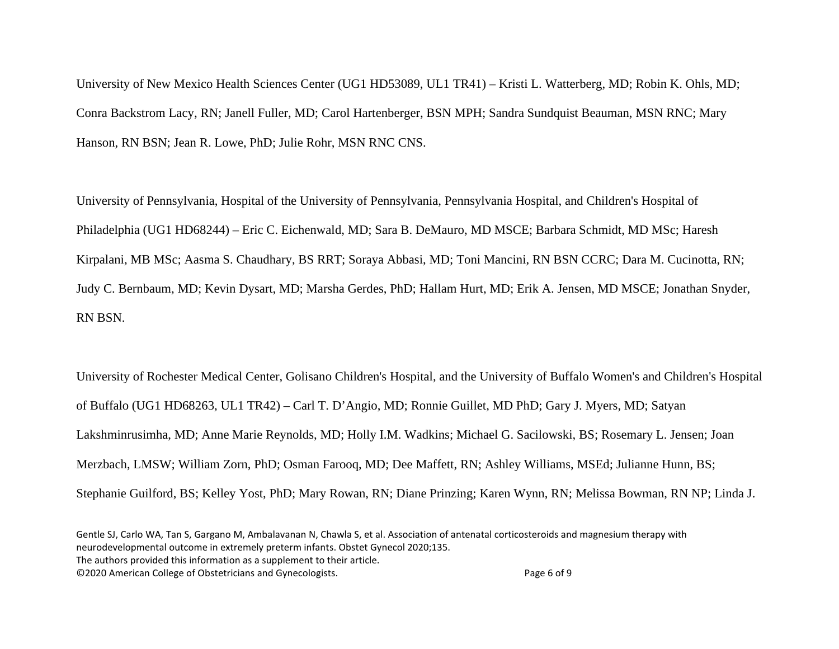University of New Mexico Health Sciences Center (UG1 HD53089, UL1 TR41) – Kristi L. Watterberg, MD; Robin K. Ohls, MD; Conra Backstrom Lacy, RN; Janell Fuller, MD; Carol Hartenberger, BSN MPH; Sandra Sundquist Beauman, MSN RNC; Mary Hanson, RN BSN; Jean R. Lowe, PhD; Julie Rohr, MSN RNC CNS.

University of Pennsylvania, Hospital of the University of Pennsylvania, Pennsylvania Hospital, and Children's Hospital of Philadelphia (UG1 HD68244) – Eric C. Eichenwald, MD; Sara B. DeMauro, MD MSCE; Barbara Schmidt, MD MSc; Haresh Kirpalani, MB MSc; Aasma S. Chaudhary, BS RRT; Soraya Abbasi, MD; Toni Mancini, RN BSN CCRC; Dara M. Cucinotta, RN; Judy C. Bernbaum, MD; Kevin Dysart, MD; Marsha Gerdes, PhD; Hallam Hurt, MD; Erik A. Jensen, MD MSCE; Jonathan Snyder, RN BSN.

University of Rochester Medical Center, Golisano Children's Hospital, and the University of Buffalo Women's and Children's Hospital of Buffalo (UG1 HD68263, UL1 TR42) – Carl T. D'Angio, MD; Ronnie Guillet, MD PhD; Gary J. Myers, MD; Satyan Lakshminrusimha, MD; Anne Marie Reynolds, MD; Holly I.M. Wadkins; Michael G. Sacilowski, BS; Rosemary L. Jensen; Joan Merzbach, LMSW; William Zorn, PhD; Osman Farooq, MD; Dee Maffett, RN; Ashley Williams, MSEd; Julianne Hunn, BS; Stephanie Guilford, BS; Kelley Yost, PhD; Mary Rowan, RN; Diane Prinzing; Karen Wynn, RN; Melissa Bowman, RN NP; Linda J.

The authors provided this information as a supplement to their article.

©2020 American College of Obstetricians and Gynecologists. Page 6 of 9

Gentle SJ, Carlo WA, Tan S, Gargano M, Ambalavanan N, Chawla S, et al. Association of antenatal corticosteroids and magnesium therapy with neurodevelopmental outcome in extremely preterm infants. Obstet Gynecol 2020;135.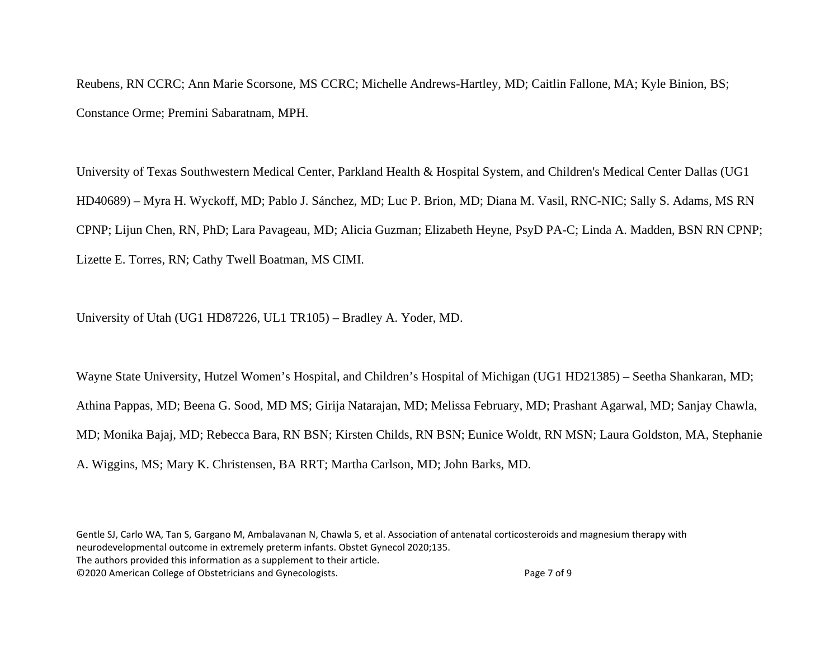Reubens, RN CCRC; Ann Marie Scorsone, MS CCRC; Michelle Andrews-Hartley, MD; Caitlin Fallone, MA; Kyle Binion, BS; Constance Orme; Premini Sabaratnam, MPH.

University of Texas Southwestern Medical Center, Parkland Health & Hospital System, and Children's Medical Center Dallas (UG1 HD40689) – Myra H. Wyckoff, MD; Pablo J. Sánchez, MD; Luc P. Brion, MD; Diana M. Vasil, RNC-NIC; Sally S. Adams, MS RN CPNP; Lijun Chen, RN, PhD; Lara Pavageau, MD; Alicia Guzman; Elizabeth Heyne, PsyD PA-C; Linda A. Madden, BSN RN CPNP; Lizette E. Torres, RN; Cathy Twell Boatman, MS CIMI.

University of Utah (UG1 HD87226, UL1 TR105) – Bradley A. Yoder, MD.

Wayne State University, Hutzel Women's Hospital, and Children's Hospital of Michigan (UG1 HD21385) – Seetha Shankaran, MD; Athina Pappas, MD; Beena G. Sood, MD MS; Girija Natarajan, MD; Melissa February, MD; Prashant Agarwal, MD; Sanjay Chawla, MD; Monika Bajaj, MD; Rebecca Bara, RN BSN; Kirsten Childs, RN BSN; Eunice Woldt, RN MSN; Laura Goldston, MA, Stephanie A. Wiggins, MS; Mary K. Christensen, BA RRT; Martha Carlson, MD; John Barks, MD.

Gentle SJ, Carlo WA, Tan S, Gargano M, Ambalavanan N, Chawla S, et al. Association of antenatal corticosteroids and magnesium therapy with neurodevelopmental outcome in extremely preterm infants. Obstet Gynecol 2020;135. The authors provided this information as a supplement to their article.

©2020 American College of Obstetricians and Gynecologists. Page 7 of 9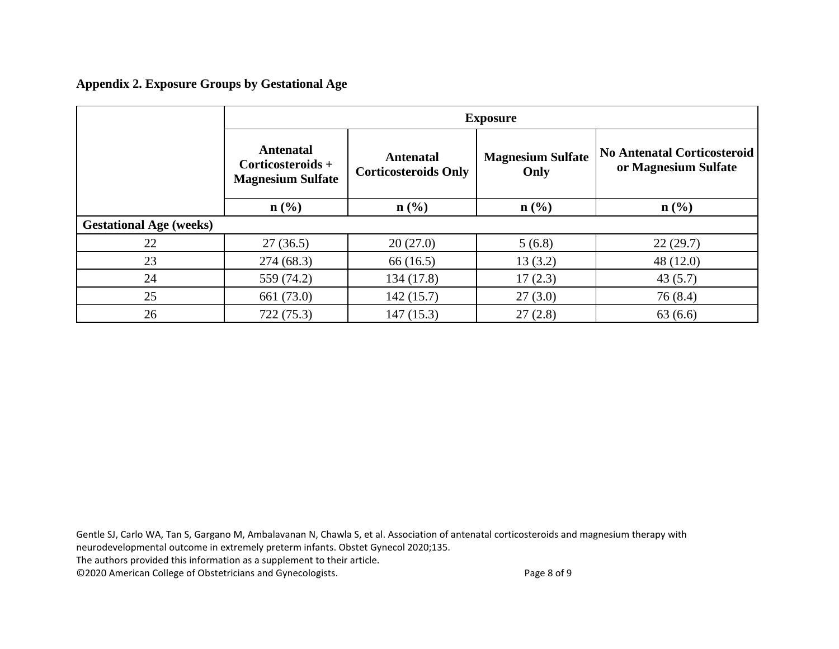**Appendix 2. Exposure Groups by Gestational Age**

|                                | <b>Exposure</b>                                                   |                                                 |                                  |                                                            |  |  |
|--------------------------------|-------------------------------------------------------------------|-------------------------------------------------|----------------------------------|------------------------------------------------------------|--|--|
|                                | <b>Antenatal</b><br>Corticosteroids +<br><b>Magnesium Sulfate</b> | <b>Antenatal</b><br><b>Corticosteroids Only</b> | <b>Magnesium Sulfate</b><br>Only | <b>No Antenatal Corticosteroid</b><br>or Magnesium Sulfate |  |  |
|                                | $n\left(\frac{0}{0}\right)$                                       | $n\left(\frac{0}{0}\right)$                     | n(%)                             | $\mathbf{n}(\%)$                                           |  |  |
| <b>Gestational Age (weeks)</b> |                                                                   |                                                 |                                  |                                                            |  |  |
| 22                             | 27(36.5)                                                          | 20(27.0)                                        | 5(6.8)                           | 22(29.7)                                                   |  |  |
| 23                             | 274(68.3)                                                         | 66(16.5)                                        | 13(3.2)                          | 48(12.0)                                                   |  |  |
| 24                             | 559 (74.2)                                                        | 134 (17.8)                                      | 17(2.3)                          | 43(5.7)                                                    |  |  |
| 25                             | 661 (73.0)                                                        | 142(15.7)                                       | 27(3.0)                          | 76 (8.4)                                                   |  |  |
| 26                             | 722 (75.3)                                                        | 147(15.3)                                       | 27(2.8)                          | 63(6.6)                                                    |  |  |

Gentle SJ, Carlo WA, Tan S, Gargano M, Ambalavanan N, Chawla S, et al. Association of antenatal corticosteroids and magnesium therapy with neurodevelopmental outcome in extremely preterm infants. Obstet Gynecol 2020;135.

The authors provided this information as a supplement to their article.

©2020 American College of Obstetricians and Gynecologists. Page 8 of 9